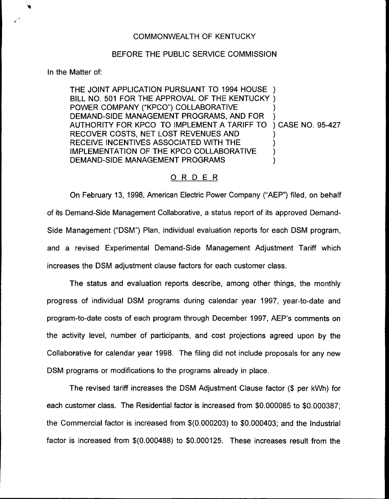## BEFORE THE PUBLIC SERVICE COMMISSION

In the Matter of:

THE JOINT APPLICATION PURSUANT TO 1994 HOUSE ) BILL NO. 501 FOR THE APPROVAL OF THE KENTUCKY ) POWER COMPANY ("KPCO") COLLABORATIVE DEMAND-SIDE MANAGEMENT PROGRAMS, AND FOR AUTHORITY FOR KPCO TO IMPLEMENT A TARIFF TO RECOVER COSTS, NET LOST REVENUES AND RECEIVE INCENTIVES ASSOCIATED WITH THE IMPLEMENTATION OF THE KPCO COLLABORATIVE DEMAND-SIDE MANAGEMENT PROGRAMS ) ) ) CASE NO. 95-427 ) ) ) )

## ORDER

On February 13, 1998, American Electric Power Company ("AEP") filed, on behalf of its Demand-Side Management Collaborative, a status report of its approved Demand-Side Management ("DSM") Plan, individual evaluation reports for each DSM program, and a revised Experimental Demand-Side Management Adjustment Tariff which increases the DSM adjustment clause factors for each customer class.

The status and evaluation reports describe, among other things, the monthly progress of individual DSM programs during calendar year 1997, year-to-date and program-to-date costs of each program through December 1997, AEP's comments on the activity level, number of participants, and cost projections agreed upon by the Collaborative for calendar year 1998. The filing did not include proposals for any new DSM programs or modifications to the programs already in place.

The revised tariff increases the DSM Adjustment Clause factor (\$ per kWh) for each customer class. The Residential factor is increased from \$0.000085 to \$0.000387; the Commercial factor is increased from \$(0.000203) to \$0.000403; and the Industrial factor is increased from \$(0.000488) to \$0.000125. These increases result from the